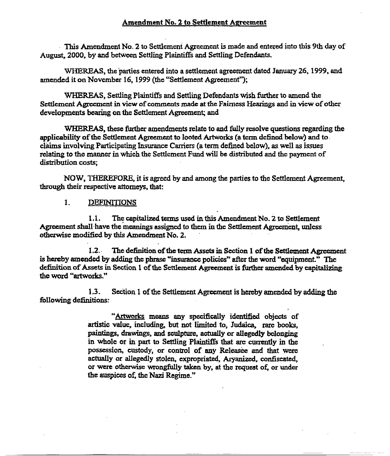## Amendment No. 2 to Settlement Agreement

. This Amendment No. 2 to Settlement Agreement is made and entered into this 9th day of August, 2000. by and between Settling Plaintiffs and Settling Defendants.

WHEREAS, the parties entered into a settlement agreement dated January 26, 1999, and amended it on November 16, 1999 (the "Settlement Agreement");

WHEREAS, Settling Plaintiffs and Settling Defendants wish further to amend the Settlement Agreement in view of comments made at the Fairness Hearings and in view of other developments bearing on the Settlement Agreement; and

WHEREAS, these further amendments relate to and fully resolve questions regarding the applicability ofthe Settlement Agreement to looted Artworks (a term defined below) and to. claims involving Participating Insurance Carriers (a term defined below), as well as issues relating to the manner in which the Settlement Fund will be distributed and the payment of distribution costs;

NOW, THEREFORE. it is agreed by and among the parties to the Settlement Agreement, through their respective attorneys. that:

#### $\mathbf{I}$ **DEFINITIONS**

1.1. The capitalized terms used in this Amendment No. 2 to Settlement Agreement shall have the meanings assigned to them in the Settlement Agreement, unless otherwise modified by this Amendment No.2.

1.2. The definition of the term Assets in Section 1 of the Settlement Agreement is hereby amended by adding the phrase "insurance policies" after the word "equipment." The definition of Assets in Section 1 of the Settlement Agreement is further amended by capitalizing the word "artworks."

1.3. Section 1 ofthe Settlement Agreement is hereby amended by adding the following definitions:

> "Artworks means any specifically identified objects of artistic value, including, but not limited to, Judaica, rare books, paintings. drawings, and sculpture. actually or allegedly belonging in Whole or in part to Settling Plaintiffs that are currently in the possession, custody, or control of any Releasee and that were actually or allegedly stolen, expropriated, Aryanized, confiscated, or were otherwise wrongfully taken by, at the request of, or under the auspices of, the Nazi Regime."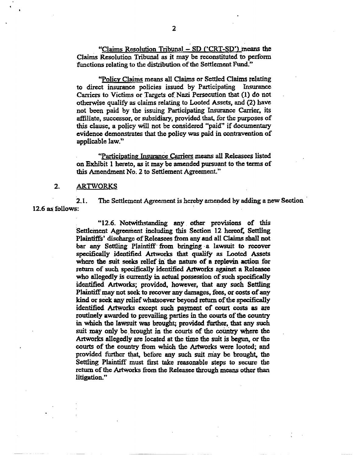"Claims Resolution Tribunal  $-$  SD ('CRT-SD') means the Claims Resolution Tribunal as it may be reconstituted to perform functions relating to the distribution of the Settlement Fund."

"Policy Claims means all Claims or Settled Claims relating to direct insurance policies issued by Participating Insurance Carriers to Victims or Targets of Nazi Persecution that (1) do not otherwise qualify as claims relating to Looted Assets, and (2) have not been paid by the issuing Participating Insurance Carrier, its affiliate, successor, Of subsidiary, provided that, for the purposes of this clause, a policy will not be considered "paid" if documentary evidence demonstrates that the policy was paid in contravention of applicable law."

"Participating Insurance Carriers means all Releasees listed on Exhibit I hereto, as it may be amended pursuant to the terms of this Amendment No. 2 to Settlement Agreement."

### 2. ARTWORKS

2.1. The Settlement Agreement is hereby amended by adding a new Section 12.6 as follows:

> "12.6. Notwithstanding any. other provisions of this Settlement Agreement including this Section 12 hereof. Settling Plaintiffs' discharge of Releasees from any and all Claims shall not bar any Settling Plaintiff from bringing a lawsuit to recover specifically identified Artworks that qualify as Looted Assets where the suit seeks relief in the nature of a replevin action for return of such specifically identified Artworks against a Releasee who allegedly is currently in actual possession of such specifically identified. Artworks; provided, however, that any such Settling Plaintiff may not seek to recover any damages, fees, or costs of any kind or seek any relief whatsoever beyond return of the specifically identified Artworks except such payment of court costs as are routinely awarded to prevailing parties in the courts of the country in which the lawsuit was brought; provided further. that any such suit may only be brought in the courts of the country where the Artworks allegedly are located at the time the suit is begun, or the courts of the country from which the Artworks were looted; and provided further that, before any such suit may be brought, the Settling Plaintiff must first take reasonable steps to secure the return of the Artworks from the Releasee through means other than litigation."

. .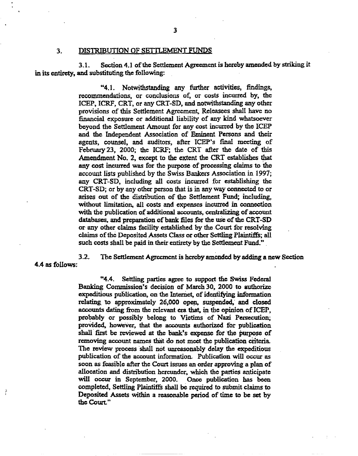#### 3. DISTRIBUTION OF SETTLEMENT FUNDS

3.1. Section 4.1 of the Settlement Agreement is hereby amended by striking it in its entirety, and substituting the following:

> "4.1. Notwithstanding any further activities, findings, recommendations, or conclusions of, or costs incurred by, the ICEP, ICRF, CRT. or any CRT-SD, and notwithstanding any other provisions of this Settlement Agreement, Releasees shall have no financial exposure or additional liability of any kind whatsoever beyond the Settlement Amount for any cost incurred by the ICEP and the Independent Association of Eminent Persons and their agents, counsel, and auditors, after JCEP's final meeting of February 23, 2000; the ICRF: the CRT after the date of this Amendment No.2, except to the extent the CRT establishes that any cost incurred was for the purpose of precessing claims to the account lists published by the Swiss Bankers Association in 1997; any CRT-SO, including all costs incurred for establishing the CRT-SD; or by any other person that is in anyway connected to or arises out of the distribution of the Settlement Fund; including, without limitation, all costs and expenses incurred in connection with the publication of additional accounts. centralizing of account databases, and preparation of bank files for the use of the CRT-SD or any other claims facility established by the Court for resolving claims ofthe Deposited Assets Class or other Settling Plaintiffs; all such costs shall be paid in their entirety by the Settlement Fund."

4.4 as follows:

È

3.2. The Settlement Agreement is hereby amended by adding a new Seetion

"4.4. Settling parties agree to support the Swiss Federal Banking Commission's decision of March 30, 2000 to authorize expeditious publication, on the Internet, of identifying information relating. to approximately 26,000 open, suspended; and closed accounts dating from the relevant era that, in the opinion of ICEP, probably or possibly belong to Victims of Nazi Persecution; proVided, however, that the accounts authorized for publication shall first be reviewed at the bank's expense for the purpose of removing account names that do not meet the publication criteria, The review process shall not unreasonably delay the expeditious publication of the account infonnation. Publication will occur *as* soon *as* feasible after the Court issues an order approving a plan of allocation and distribution hereunder. which the parties anticipate will occur in September, 2000. Once publication has been completed, Settling Plaintiffs shall be required to submit claims to Deposited Assets within a reasonable period of time to be set by the Court."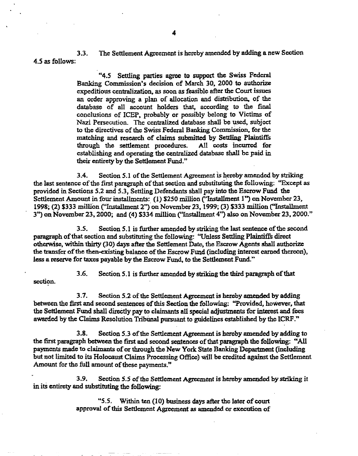3.3. The Settlement Agreement is hereby amended by adding a new Section 4.5 as follows;

> ('4.5 Settling parties agree to support the Swiss Federal Banking Commission's decision of March 30. 2000 to authorize expeditious centralization. as soon as feasible after the Court issues an order approving a plan of allocation and distribution, of the database of all account holders that, according to the final conclusions of ICEP, probably or possibly belong to Victims of Nazi Persecution. The centralized database shall be used, subject to the directives of the Swiss Federal Banking Commission, for the matching and research of claims submitted by Settling Plaintiffs through the settlement procedures. All costs incurred for establishing and operating the centralized database shall be paid in their entirety by the Settlement Fund."

3.4. Section 5.1 of the Settlement Agreement is hereby amended by striking the last sentence of the first paragraph of that section and substituting the following: "Except as provided in Sections 5.2 and 5.3, Settling Defendants shall pay into the Escrow Fund the Settlement Amount in four installments: (1) \$250 million ("Installment 1") on November 23, 1998; (2) \$333 million ("'Installment 2") on November 23, 1999; (3) \$333 million C'Installment  $3"$ ) on November 23, 2000; and (4) \$334 million ("Installment 4") also on November 23, 2000."

3.5. Section 5.1 is further amended by striking the last sentence of the second paragraph of that section and substituting the following: "Unless Settling Plaintiffs direct otherwise, within thirty (30) days after the Settlement Date, the Escrow Agents shall authorize the transfer of the then-existing balance of the Escrow Fund (including interest earned thereon), less a reserve for taxes payable by the Escrow Fund, to the Settlement Fund."

3.6. Section 5.1 is further amended by striking the third paragraph of that section.

3.7. Section 5.2 of the Settlement Agreement is hereby amended by adding between the first and second sentences of this Section the following: "Provided, however, that the Settlement Fund shall directly pay to claimants all special adjustments for interest and fees awarded by the Claims Resolution Tribunal pursuant to guidelines established by the ICRF."

3.8. Section 5.3 ofthe Settlement Agreement is hereby amended by adding to the first paragraph between the first and second sentences of that paragraph the following: "All payments made to claimants of or through the New York State Banking Department (including but not limited to its Holocaust Claims Processing Office) will be credited against the Settlement Amount for the full amount of these payments."

3.9. Section 5.5 ofthe Settlement Agreement is hereby amended by striking it in its entirety and substituting the following:

> "5.5. Within ten (10) business days after the later of court approval of this Settlement Agreement as amended or execution of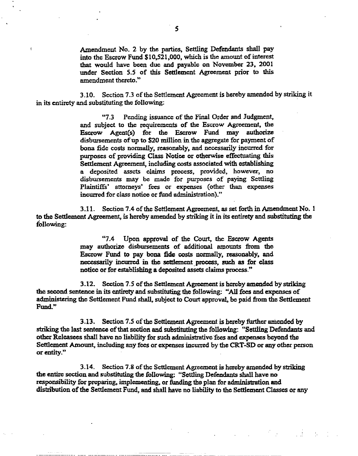Amendment No. 2 by the parties, Settling Defendants shall pay into the Escrow Fund  $$10,521,000$ , which is the amount of interest that would have been due and payable on November 23, 2001 under Section 5.5 of this Settlement Agreement prior to this amendment thereto."

3.10. Section 7.3 of the Settlement Agreement is hereby amended by striking it in its entirety and substituting the following: '

> "7.3 Pending issuance of the Final Order and Judgment. and subject to the requirements of the Escrow Agreement. the Escrow Agent(s) for the Escrow Fund may authorize disbursements of up to \$20 million in the aggregate for payment of bona fide costs normally, reasonably, and necessarily incurred for purposes of providing Class Notice or otherwise effectuating this Settlement Agreement, including costs associated with establishing a deposited assets claims process, provided, however, no disbursements may be made for purposes of paying Settling Plaintiffs' attorneys' fees or expenses (other than expenses incurred for class notice or fund administration)."

3.11. Section 7.4 of the Settlement Agreement, as set forth in Amendment No. 1 to the Settlement Agreement, is hereby amended by striking it in its entirety and substituting the following:

> "7.4 Upon approval of the Court, the Escrow Agents may authorize disbursements of additional amounts from the Escrow Fund to pay bona fide costs normally, reasonably, and necessarily incurred in the settlement process, such as for class notice or for establishing a deposited assets claims process."

3.12. Section 7.5 ofthe Settlement Agreement is hereby amended by striking the second sentence in its entirety and substituting the following: "All fees and expenses of admiaistering the Settlement Fund shall. subject to Court approval, be paid from the Settlement Fund,"

3.13. Section 7.5 of the Settlement Agreement is hereby further amended by striking the last sentence of that section and substituting the following: "Settling Defendants and other Releasees shall have no liability for suchadministrative 'fees and expenses beyond the Settlement Amount. including any fees or expenses incuned by the CRT-SO or any other person or entity,"

3.14. Section 7.8 of the Settlement Agreement is hereby amended by striking the entire section and substituting the following: "Settling Defendants shall have no responsibility for preparing, implementing, or funding the plan for administration and distribution of the Settlement Fund, and shall have no liability to the Settlement Classes or any

计重用 机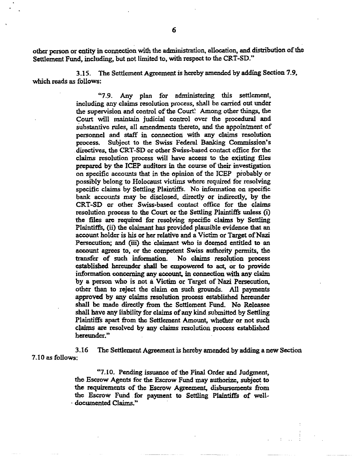other person or entity in connection with the administration, allocation, and distribution of the Settlement Fund, including, but not limited to. with respect to the CRT-SD."

3.15. The Settlement Agreement is hereby amended by adding Section 7.9, which reads as follows:

> "7.9. Any plan for administering this settlement. including any claims resolution process, shall be carried out under the supervision and control of the Court: Among other things, the Court will maintain judicial control over the procedural and substantive rules. all amendments thereto, and the appointment of personnel and staff in connection with any claims resolution process. Subject to the Swiss Federal Banking Commission's .direetives, the CRT-SD or other Swiss-based contact office for the claims resolution process will have access to the existing files prepared by the ICEP auditors in the course of their investigation on specific accounts that in the opinion of the ICEP probably or possibly belong to Holocaust victims where required for resolving specific claims by Settling Plaintiffs. No information on specific bank accounts may be disclosed, directly or indirectly, by the CRT-SD or other Swiss-based contact office for the claims resolution process to the Court or the Settling Plaintiffs unless (i) the files are required for resolving specific claims by Settling Plaintiffs. (ii) the claimant has provided plausible evidence that an account holder is his or her relative and a Victim or Target of Nazi Persecution; and (iii) the claimant who is deemed entitled to an account agrees to, or the competent Swiss authority permits, the transfer of such information. No claims resolution process No claims resolution process established hereunder shall be empowered to act, or to provide information concerning any account, in connection with any claim by a person who is not a Victim or Target of Nazi Persecution, other than to reject the claim on such grounds. AU payments approved by any claims resolution process established hereunder shall be made directly from the Settlement Fund. No Releasee shall have any liability for claims of any kind submitted by Settling Plaintiffs apart from the Settlement Amount, whether or not such claims are resolved by any claims resolution process established hereunder."

3.16 The Settlement Agreement is hereby amended by adding a new Section 7.10 as follows:

> "1.10. Pending issuance of the Final Order and Judgment, the Escrow Agents for the Escrow Fund may authorize, subject to the requirements of the Escrow Agreement, disbursements from the Escrow Fund for payment to Settling Plaintiffs of well- . documented Claims."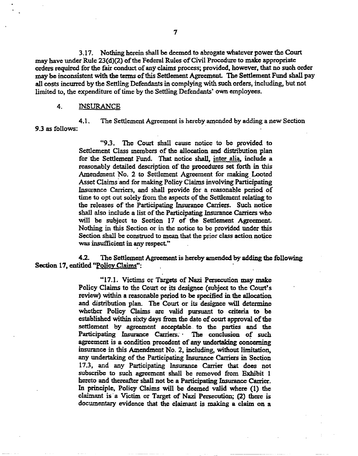3.17, Nothing herein shall be deemed to abrogate whatever power the Court may have under Rule 23(d)(2) of the Federal Rules of Civil Procedure to make appropriate orders required for the fair conduct of any claims process; provided, however, that no such order may be inconsistent with the terms of this Settlement Agreement. The Settlement Fund shall pay all costs incurred by the Settling Defendants in complying with such orders, including, but not limited to, the expenditure of time by the Settling Defendants' own employees.

## 4. iNSURANCE

4.1. The Settlement Agreement is hereby amended by adding a new Section 9.3 as follows:

> "9.3. The Court shall cause notice to be provided to Settlement Class members of the allocation and distribution plan for the Settlement Fund. That notice shall, inter alia, include a reasonably detailed description of the procedures set forth in this Amendment No.2 to Settlement Agreement for making Looted Asset Claims and for making Policy Claims involving Participating Insurance Carriers, and shall provide for a reasonable period of time to opt out solely from the aspects of the Settlement relating to the releases of the Participating Insurance Carriers. Such notice shall also include a list of the Participating Insurance Carriers who will be subject to Section 17 of the Settlement Agreement. Nothing in this Section or in the notice to be provided under this Section shall be construed to mean that the prior class action notice was insufficient in any respect."

4.2. The Settlement Agreement is hereby amended by adding the following Section 17, entitled "Policy Claims":

> "17.1. Victims or Targets of Nazi Persecution may make Policy Claims to the Court or its designee (subject to the Court's review) within a reasonable period to be specified in the allocation and distribution plan. The Court or its designee will determine whether Policy Claims are valid pursuant to criteria to be established within sixty days from the date of court approval of the settlement by agreement acceptable. to the parties and the Participating Insurance Carriers. The conclusion of such agreement is a condition precedent of any undertaking concerning insurance in this Amendment No.2, including, without limitation, any undertaking of the Participating Insurance Carriers in 'Section 17.3, and any Participating Insurance Carrier that does not subscribe to such agreement shall be removed from Exhibit 1 hereto and thereafter shall not be a Participating Insurance Carrier. In principle, Poliey Claims will be deemed valid where (1) the claimant is' a Victim or Target of Nazi Persecution; (2) there is documentary evidence that the claimant is making a claim on a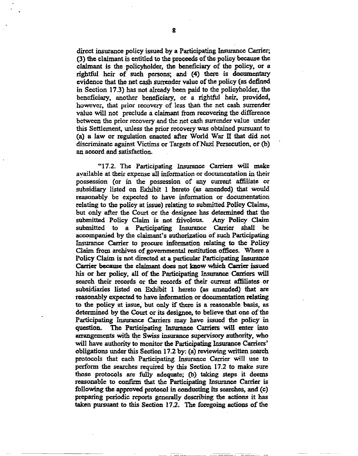direct insurance policy issued by a Participating Insurance Carrier; (3) the claimant is entitled to the proceeds of the policy because the claimant is the policyholder, the beneficiary of the policy, or a rightful heir of such persons; and (4) there is documentary evidence that the net cash surrender value of the policy (as defined in Section 17.3) has not already been paid to the policyholder. the beneficiary, another beneficiary. or a rightful heir, provided, however, that prior recovery of less than the net cash surrender value will not preclude a claimant from recovering the difference between the prior recovery and the net cash surrender value under this Settlement, unless the prior recovery was obtained pursuant to (a) a law or regulation enacted after World War  $\Pi$  that did not discriminate against Victims or Targets of Nazi Persecution, or (b) an accord and satisfaction.

"17.2. The Participating Insurance Carriers will make available at their expense all information or documentation in their possession (or in the possession of any current affiliate or subsidiary listed on Exhibit 1 hereto (as amended) that would reasonably be expected to have information or documentation relating to the policy at issue) relating to submitted Policy Claims, but only after the Court or the designee has determined that the submitted Policy Claim is not frivolous. Any Policy Claim submitted Policy Claim is not frivolous. submitted to a Participating Insurance Carrier shall be accompanied by the claimant's authorization of such Participating Insurance Carrier to procure information relating to the Policy Claim from archives of governmental restitution offices. Where a Policy Claim is not directed at a particular Participating Insurance Carrier because the claimant does not know which Carrier issued his or her policy, all of the Participating Insurance Carriers will search their records or the records of their current affiliates or subsidiaries listed on Exhibit 1 hereto (as amended) that are reasonably expected to have information or documentation relating to the policy at issue, but only if there is a reasonable basis, as determined by the Court or its designee, to believe that one of the Participating Insurance Carriers may have issued the policy in question. The Participating Insurance Carriers will enter into arrangements with the Swiss insurance supervisory authority, who will have authority *to* monitor the Partieipating Insurance Carriers' obligations under this Section 17.2 by: (a) reviewing written search protocols that each Participating Insurance Carrier will use to perform the searches required by this Section 17.2 to make sure those protocols are fully adequate; (b) taking steps it deems reasonable to confum that the Participating Insurance Carrier is following the approved protocol in conducting its searches. and (c) preparing periodic reports generally describing the actions it has taken pursuant to this Section  $17.2$ . The foregoing actions of the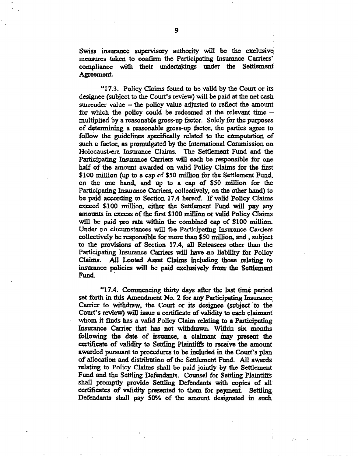Swiss insurance supervisory authority will be the exclusive measures taken to confirm the Participating Insurance Carriers' compliance with their undertakings under the Settlement Agreement.

"17.3. Policy Claims found to be valid by the Court or its designee (subject to the Court's review) will be paid at the net cash surrender value  $-$  the policy value adjusted to reflect the amount for which the policy could be redeemed at the relevant time  $$ multiplied by a reasonable gross-up factor, Solely for the purposes of determining a reasonable gross-up factor, the parties agree to follow the guidelines specifically related to the computation of such a factor, as promulgated by the International Commission on Holocaust-era Insurance Claims. The Settlement Fund and the Participating Insurance Carriers will each be responsible for one half of the amount awarded on valid Policy Claims for the first \$100 million (up to a cap of \$50 million for the Settlement Fund, on the one hand, and up to a cap of \$50 million for the Participating Insurance Carriers, collectively, on the other hand) to be paid according to Section 17.4 hereof. If valid Policy Claims exceed \$100 million, either the Settlement Fund will pay any amounts in excess of the first \$100 million or valid Policy Claims will be paid pro rata within the combined cap of \$100 million. Under no circumstances will the Participating Insurance Carriers collectively be responsible for more than \$50 million, and, subject to the provisions of Section 17.4, all Releasees other than the Participating Insurance Carriers will have no liability for Policy Claims. All Looted Asset Claims including those relating to insurance policies will be paid exclusively from the Settlement Fund.

·~17.4. Commencing thirty days after the last time period set forth in this Amendment No. 2 for any Participating Insurance. Carrier to withdraw, the Court or its designee (subject to the Court's review) will issue a certificate of validity to eaeh claimant whom it finds has a valid Policy Claim relating to a Participating Insurance Carrier that has not withdrawn. Within six months following the date of issuance, a claimant may present the certificate of validity to Settling Plaintiffs to receive the amount awarded pursuant to procedures to be included in the Court's plan of allocation and distribution of the Settlement Fund. All awards relating to Policy Claims shall be paid jointly by the Settlement Fund and the Settling Defendants. Counsel for Settling Plaintiffs shall promptly provide Settling Defendants with copies of all certificates of validity presented to them for payment. Settling· Defendants shall pay 50% of the amount designated in such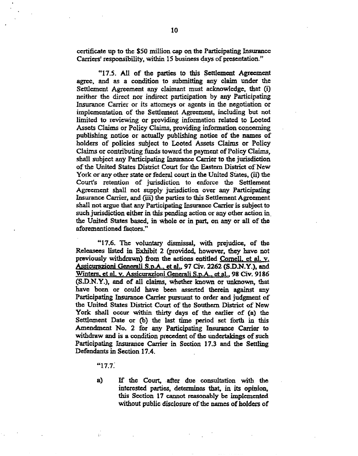certificate up to the \$50 million cap on the Participating Insurance Carriers' responsibility, within 15 business days of presentation."

"17.5. All of the parties to this Settlement Agreement agree. and as a condition to submitting any claim under the Settlement Agreement any claimant must acknowledge. that (i) neither the direct nor indirect participation by any Participating Insurance Carrier or its attorneys or agents in the negotiation or implementation of the Settlement Agreement, including but not limited to reviewing Or providing information related to Looted Assets Claims or Policy Claims, providing information concerning publishing notice or actually publishing notice of the names of holders of policies subject to Looted Assets Claims or Policy Claims or contributing funds toward the payment of Policy Claims, shall subject any Participating Insurance Carrier to the jurisdiction of the United States District Court for the Eastern District of New York or any other state or federal court in the United States, (ii) the Court's retention of jurisdiction to enforce the Settlement Agreement shall not supply jurisdiction over any Participating Insurance Carrier, and (iii) the parties to this Settlement Agreement shall not argue that any Participating Insurance Carrier is subject to such jurisdiction either in this pending action or any other action in, the United States based. in whole or in part, on any or all of the aforementioned factors,"

·'17.6. The voluntary dismissal, with prejudice, of the Releasees listed in Exhibit 2 (provided, however. they have not previously withdrawn) from the actions entitled Cornell, et al. v. Assicurazioni Generali S.p.A., et al., 97 Civ. 2262 (S.D.N.Y.), and Winters, et al. v. Assicurazioni Generali S.p.A., et al., 98 Civ. 9186 (S,D.N.Y.), and of all claims, whether known or unknown, that have been or could have been asserted therein against any Participating Insurance Carrier pursuant to order and judgment of the United States District Court of the Southern District of New York shall occur within thirty days of the earlier of (a) the Settlement Date or (b) the last time period set forth in this Amendment No. 2 for any Participating Insurance Carrier to withdraw and is a condition precedent of the undertakings of such Participating Insurance Carrier in Section 17.3 and the Settling Defendants in Section 17.4.

"17.7.

 $\ddot{i}$ 

a) If the Court, after due consultation with the interested parties, determines that, in its opinion, this Section 17 cannot reasonably be implemented without public disclosure of the names of holders of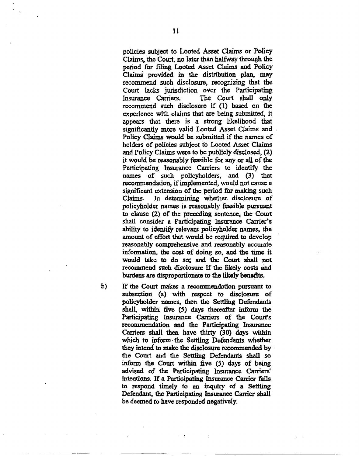policies subject to Looted Asset Claims or Policy Claims, the Court. no Iater than halfway through the period for filing Looted Asset Claims and Policy Claims provided in the distribution plan, may recommend such disclosure, recognizing that the Court lacks jurisdiction over the Participating Insurance Carriers. The Court shall only recommend such disclosure if (1) based on the experience with claims that are being submitted, it appears that there is a strong likelihood that significantly more valid Looted Asset Claims and ' Policy Claims would be submitted if the names of holders of policies subject to Looted Asset Claims and Policy Claims were to be publicly disclosed, (2) it would be reasonably feasible for any or all of the Participating Insurance Carriers to identify the names of such policyholders. and (3) that recommendation, if implemented, would not cause a significant extension of the period for making such<br>Claims. In determining whether disclosure of In determining whether disclosure of policyholder names is reasonably feasible pursuant to clause (2) of the preceding sentence, the Court shall consider a Participating Insurance Carrier's ability to identify relevant policyholder names, the amount of effort that would be required to develop reasonably comprehensive and reasonably accurate information, the cost of doing so, and the time it would take to do so; and the Court shall not recommend such disclosure if the likely costs and burdens are disproportionate to the likely benefits.

b) If the Court makes a recommendation pursuant to subsection (a) with respect to disclosure of policyholder names, then the Settling Defendants shall, within five (5) days thereafter inform the Participating Insurance Carriers of the Court's recommendation and the Participating Insurance Carriers shall then have thirty (30) days within which to inform the Settling Defendants whether they intend to make the disclosure recommended by  $\cdot$ the Court and the Settling Defendants shall so inform the Court within five (5) days of being advised of the Participating Insurance Carriers' intentions. If a Participating Insurance Carrier fails to respond timely to an inquiry of a Settling Defendant, the Participating Insurance Carrier shall be deemed to havc responded negatively.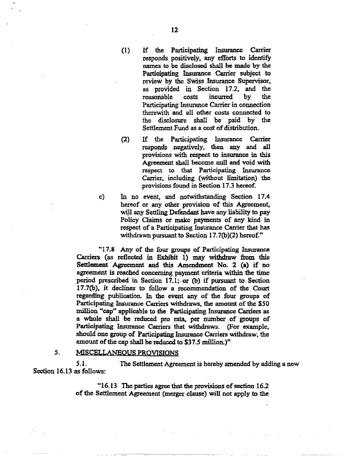- (l) If the Participating Insurance Carrier responds positively, any efforts to identify names to be disclosed shall be made by the Participating Insurance Carrier subject to review by the Swiss Insurance Supervisor, as provided in Section 17.2, and the<br>reasonable costs incurred by the reasonable costs incurred by the Participating Insurance Carrier in connection therewith and all other costs connected to the disclosure shall be paid by the Settlement Fund as a cost of distribution.
- (2) If the Participating Insurance Carrier responds negatively, then any and all provisions with respect to insurance in this Agreement shall become null and void with respect to that Participating Insurance Carrier, including (without limitation) the provisions found in Section 17.3 hereof.
- c) In no event, and notwithstanding Section 17.4 hereof or any other provision of this Agreement, will any Settling Defendant have any liability to pay Policy Claims or make payments of any kind in respect of a Participating Insurance Carrier that has withdrawn pursuant to Section  $17.7(b)(2)$  hereof."

"17.8 Any of the four groups of Participating Insurance Carriers (as reflected in Exhibit 1) may withdraw from this Settlement Agreement and this Amendment No. 2 (a) if no agreement is reached concerning payment criteria within the time period prescribed in Section 17.1; or (b) if pursuant to Section 17.7(b), it declines to follow a recommendation of the Court regarding publication, In the event any of the four groups of Participating Insurance Carriers withdraws, the amount of the \$50 million ·'cap'· applicable to the Participating Insurance Carriers as a whole shall be reduced pro rata, per number of groups of Participating Insurance Caniers that withdraws. (For example. should one group of Participating Insurance Carriers withdraw, the amount of the cap shall be reduced to \$37.5 million.)"

# 5. MISCELLANEQUS PROVISIONS

5.1. The Settlement Agreement is hereby amended by adding a new Section 16.13 as follows:

> "16.13 The parties agree that the provisions of section 16.2 of the Settlement Agreement (merger clause) will not apply to the